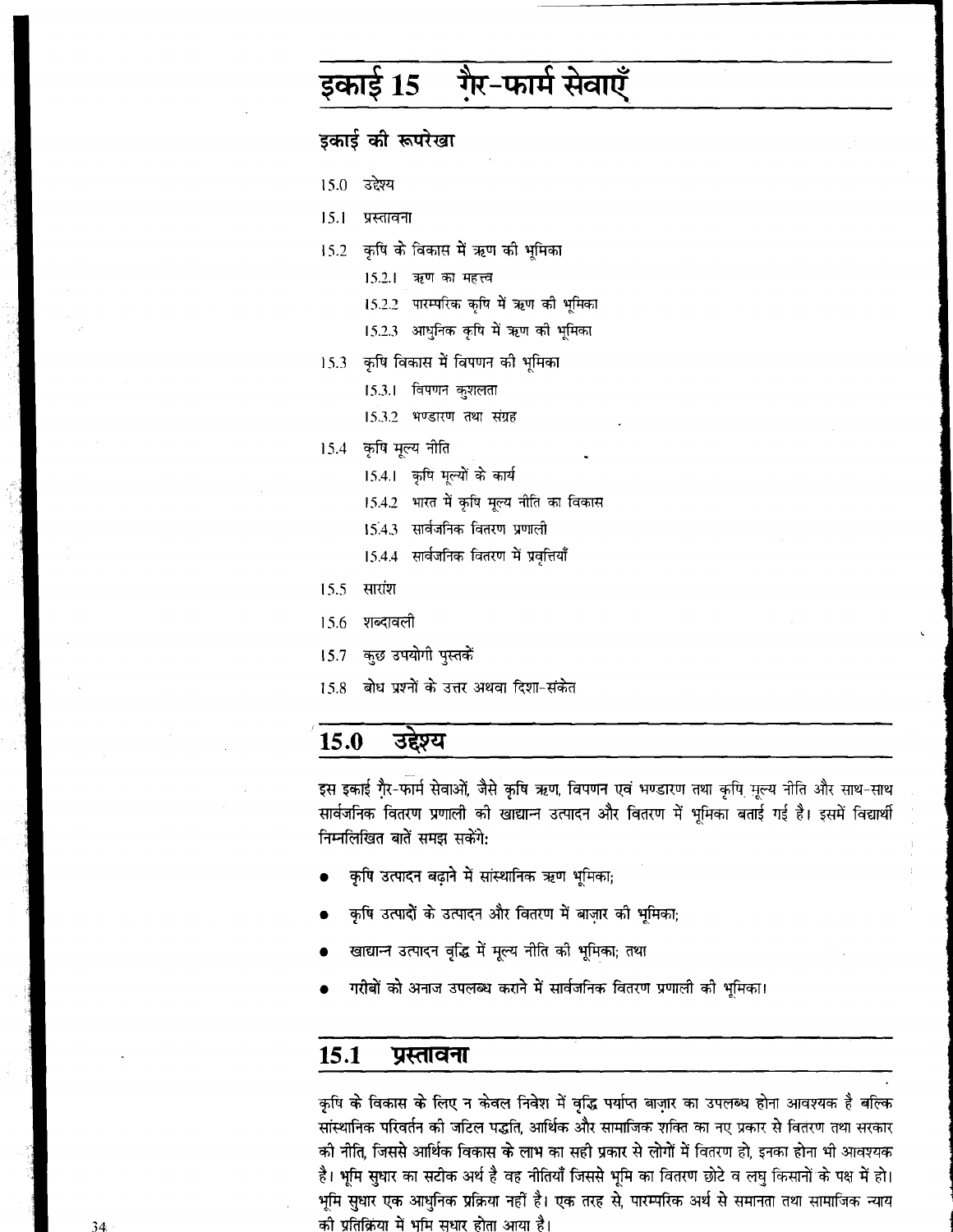# इकाई 15 गै़र-फार्म सेवाएँ

# इकाई की रूपरेखा

- 15.0 उद्देश्य
- $15.1$ प्रस्तावना
- 15.2 कृषि के विकास में ऋण की भूमिका
	- 15.2.1 ऋण का महत्त्व
	- 15.2.2 पारम्परिक कृषि में ऋण की भूमिका
	- 15.2.3 आधुनिक कृषि में ऋण की भूमिका
- 15.3 कृषि विकास में विपणन की भूमिका
	- 15.3.1 विपणन कुशलता
	- 15.3.2 भण्डारण तथा संग्रह
- कृषि मूल्य नीति  $15.4 -$ 
	- 15.4.1 कृषि मूल्यों के कार्य
	- 15.4.2 भारत में कृषि मूल्य नीति का विकास
	- 15.4.3 सार्वजनिक वितरण प्रणाली
	- 15.4.4 सार्वजनिक वितरण में प्रवृत्तियाँ
- 15.5 सारांश
- 15.6 शब्दावली
- कुछ उपयोगी पुस्तकें  $15.7$
- बोध प्रश्नों के उत्तर अथवा दिशा-संकेत 15.8

#### 15.0 उद्देश्य

इस इकाई गै्र-फार्म सेवाओं, जैसे कृषि ऋण, विपणन एवं भण्डारण तथा कृषि मूल्य नीति और साथ-साथ सार्वजनिक वितरण प्रणाली को खाद्यान्न उत्पादन और वितरण में भूमिका बताई गई है। इसमें विद्यार्थी निम्नलिखित बातें समझ सकेंगे:

- कृषि उत्पादन बढ़ाने में सांस्थानिक ऋण भूमिका;
- कृषि उत्पादों के उत्पादन और वितरण में बाज़ार की भूमिका;
- खाद्यान्न उत्पादन वृद्धि में मूल्य नीति को भूमिका; तथा
- गरीबों को अनाज उपलब्ध कराने में सार्वजनिक वितरण प्रणाली की भूमिका।

#### 15.1 प्रस्तावना

कृषि के विकास के लिए न केवल निवेश में वृद्धि पर्याप्त बाज़ार का उपलब्ध होना आवश्यक है बल्कि सांस्थानिक परिवर्तन को जटिल पद्धति, आर्थिक और सामाजिक शक्ति का नए प्रकार से वितरण तथा सरकार को नीति, जिससे आर्थिक विकास के लाभ का सही प्रकार से लोगों में वितरण हो, इनका होना भी आवश्यक है। भूमि सुधार का सटीक अर्थ है वह नीतियाँ जिससे भूमि का वितरण छोटे व लघु किसानों के पक्ष में हो। भूमि सुधार एक आधुनिक प्रक्रिया नहीं है। एक तरह से, पारम्परिक अर्थ से समानता तथा सामाजिक न्याय की प्रतिक्रिया में भूमि सुधार होता आया है।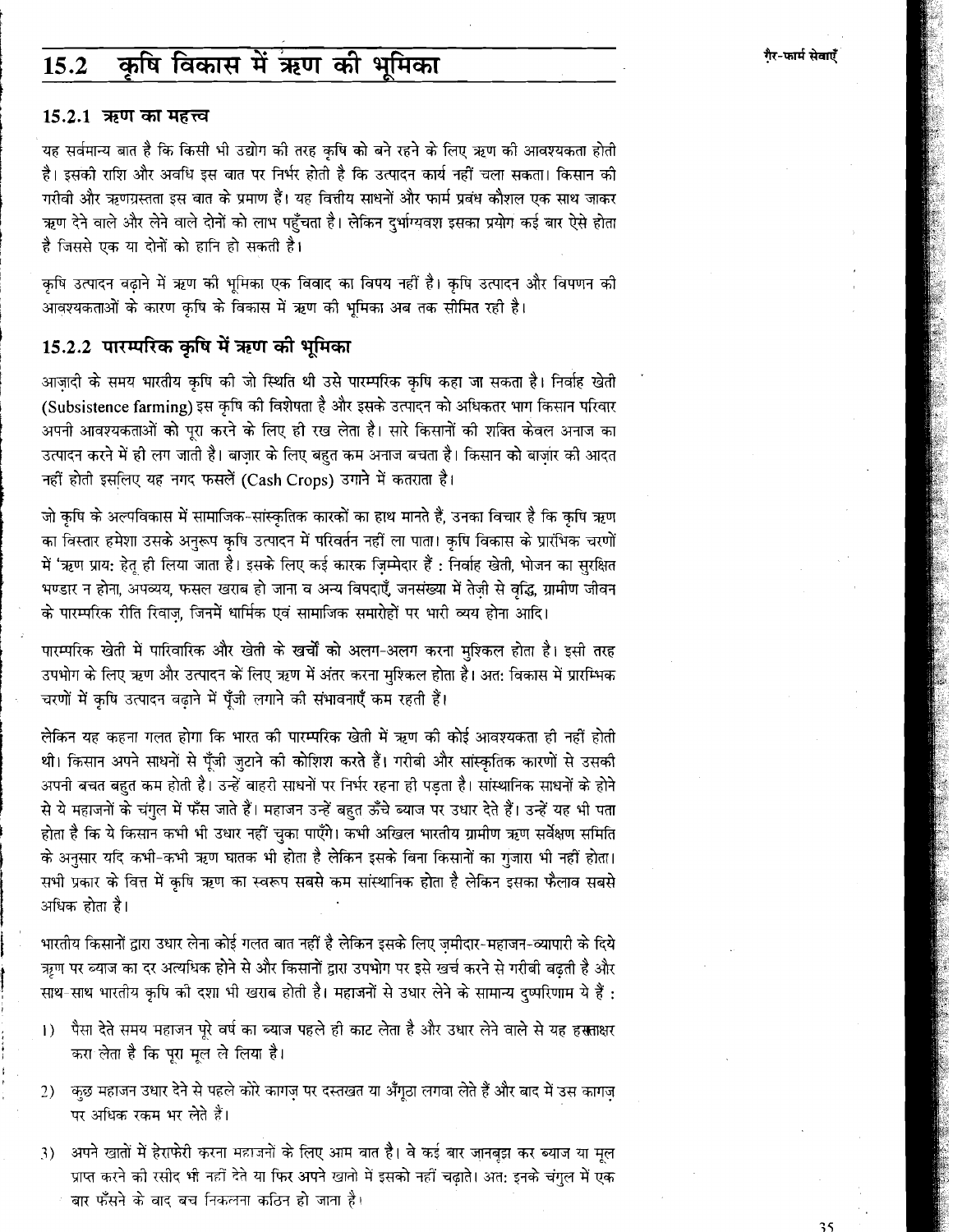#### कृषि विकास में ऋण की भूमिका  $15.2$

#### 15.2.1 ऋण का महत्त्व

यह सर्वमान्य बात है कि किसी भी उद्योग की तरह कृषि को बने रहने के लिए ऋण की आवश्यकता होती है। इसको राशि और अवधि इस बात पर निर्भर होती है कि उत्पादन कार्य नहीं चला सकता। किसान को गरीबी और ऋणग्रस्तता इस बात के प्रमाण हैं। यह वित्तीय साधनों और फार्म प्रबंध कौशल एक साथ जाकर ऋण देने वाले और लेने वाले दोनों को लाभ पहुँचता है। लेकिन दुर्भाग्यवश इसका प्रयोग कई बार ऐसे होता है जिससे एक या दोनों को हानि हो सकती है।

कषि उत्पादन बढाने में ऋण की भूमिका एक विवाद का विषय नहीं है। कृषि उत्पादन और विपणन की आवश्यकताओं के कारण कृषि के विकास में ऋण की भूमिका अब तक सीमित रही है।

# 15.2.2 पारम्परिक कृषि में ऋण की भूमिका

आजादी के समय भारतीय कृषि की जो स्थिति थी उसे पारम्परिक कृषि कहा जा सकता है। निर्वाह खेती (Subsistence farming) इस कृषि की विशेषता है और इसके उत्पादन को अधिकतर भाग किसान परिवार अपनी आवश्यकताओं को पूरा करने के लिए ही रख लेता है। सारे किसानों की शक्ति केवल अनाज का उत्पादन करने में ही लग जाती है। बाजार के लिए बहुत कम अनाज बचता है। किसान को बाजार को आदत नहीं होती इसलिए यह नगद फसलें (Cash Crops) उगाने में कतराता है।

जो कपि के अल्पविकास में सामाजिक-सांस्कतिक कारकों का हाथ मानते हैं, उनका विचार है कि कपि ऋण का विस्तार हमेशा उसके अनुरूप कृषि उत्पादन में परिवर्तन नहीं ला पाता। कृषि विकास के प्रारंभिक चरणों में 'ऋण प्राय: हेतू ही लिया जाता है। इसके लिए कई कारक ज़िम्मेदार हैं : निर्वाह खेती, भोजन का सुरक्षित भण्डार न होना, अपव्यय, फसल खराब हो जाना व अन्य विपदाएँ, जनसंख्या में तेज़ी से वृद्धि, ग्रामीण जीवन के पारम्परिक रीति रिवाज़, जिनमें धार्मिक एवं सामाजिक समारोहों पर भारी व्यय होना आदि।

पारम्परिक खेती में पारिवारिक और खेती के खर्चों को अलग-अलग करना मुश्किल होता है। इसी तरह उपभोग के लिए ऋण और उत्पादन के लिए ऋण में अंतर करना मुश्किल होता है। अत: विकास में प्रारम्भिक चरणों में कृषि उत्पादन बढाने में पूँजी लगाने की संभावनाएँ कम रहती हैं।

लेकिन यह कहना गलत होगा कि भारत की पारम्परिक खेती में ऋण की कोई आवश्यकता ही नहीं होती थी। किसान अपने साधनों से पूँजी जुटाने की कोशिश करते हैं। गरीबी और सांस्कृतिक कारणों से उसकी अपनी बचत बहुत कम होती है। उन्हें वाहरी साधनों पर निर्भर रहना ही पड़ता है। सांस्थानिक साधनों के होने से ये महाजनों के चंगुल में फँस जाते हैं। महाजन उन्हें बहुत ऊँचे ब्याज पर उधार देते हैं। उन्हें यह भी पता होता है कि ये किसान कभी भी उधार नहीं चुका पाएँगे। कभी अखिल भारतीय ग्रामीण ऋण सर्वेक्षण समिति के अनुसार यदि कभी-कभी ऋण घातक भी होता है लेकिन इसके बिना किसानों का गुजारा भी नहीं होता। सभी प्रकार के वित्त में कृषि ऋण का स्वरूप सबसे कम सांस्थानिक होता है लेकिन इसका फैलाव सबसे अधिक होता है।

भारतीय किसानों द्वारा उधार लेना कोई गलत बात नहीं है लेकिन इसके लिए जमीदार-महाजन-व्यापारी के दिये ऋण पर ब्याज का दर अत्यधिक होने से और किसानों द्वारा उपभोग पर इसे खर्च करने से गरीबी बढती है और साथ-साथ भारतीय कृषि को दशा भी खराब होती है। महाजनों से उधार लेने के सामान्य दुष्परिणाम ये हैं :

- पैसा देते समय महाजन पूरे वर्ष का ब्याज पहले ही काट लेता है और उधार लेने वाले से यह हसताक्षर  $\left| \right|$ करा लेता है कि पूरा मूल ले लिया है।
- कुछ महाजन उधार देने से पहले कोरे कागज़ पर दस्तखत या अँगुठा लगवा लेते हैं और बाद में उस कागज  $2)$ पर अधिक रकम भर लेते हैं।
- अपने खातों में हेराफेरी करना महाजनों के लिए आम बात है। वे कई बार जानबूझ कर ब्याज या मूल 3) प्राप्त करने को रसीद भी नहीं देते या फिर अपने खातो में इसको नहीं चढ़ाते। अत: इनके चंगुल में एक बार फँसने के बाद बच निकलना कठिन हो जाता है।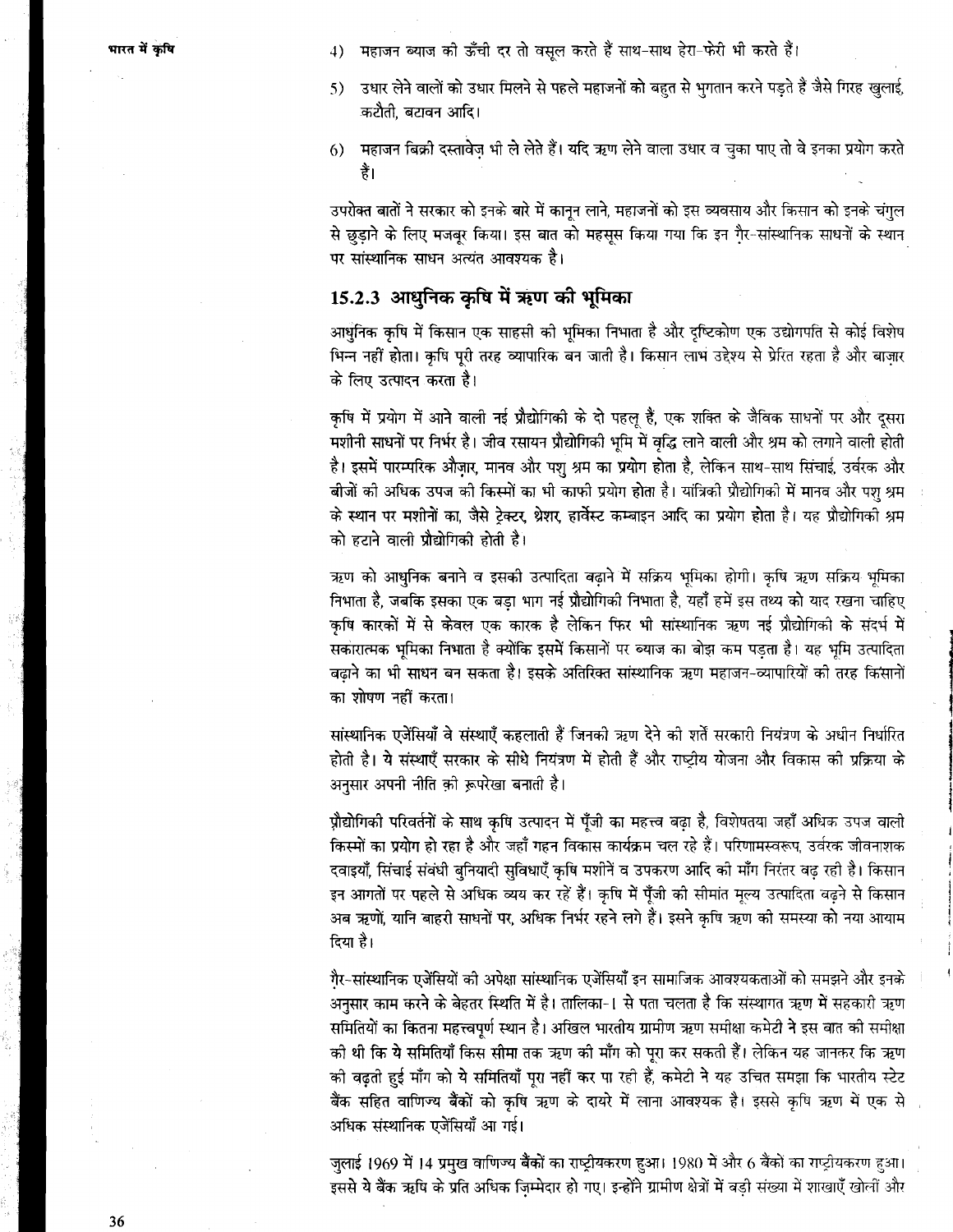- 4) महाजन ब्याज की ऊँची दर तो वसूल करते हैं साथ-साथ हेरा-फेरी भी करते हैं।
- उधार लेने वालों को उधार मिलने से पहले महाजनों को बहुत से भुगतान करने पडते हैं जैसे गिरह खुलाई,  $5)$ कटौती, बटावन आदि।
- 6) महाजन बिक्री दस्तावेज़ भी ले लेते हैं। यदि ऋण लेने वाला उधार व चुका पाए तो वे इनका प्रयोग करते है।

उपरोक्त बातों ने सरकार को इनके बारे में कानून लाने, महाजनों को इस व्यवसाय और किसान को इनके चंगुल से छुड़ाने के लिए मजबूर किया। इस बात को महसूस किया गया कि इन गै़र-सांस्थानिक साधनों के स्थान पर सांस्थानिक साधन अत्यंत आवश्यक है।

## 15.2.3 आधुनिक कृषि में ऋण की भूमिका

आधुनिक कृषि में किसान एक साहसी की भूमिका निभाता है और दृष्टिकोण एक उद्योगपति से कोई विशेष भिन्न नहीं होता। कृषि पूरी तरह व्यापारिक बन जाती है। किसान लाभ उद्देश्य से प्रेरित रहता है और बाज़ार के लिए उत्पादन करता है।

कृषि में प्रयोग में आने वाली नई प्रौद्योगिकी के दो पहलू हैं, एक शक्ति के जैविक साधनों पर और दूसरा .<br>मशीनी साधनों पर निर्भर है। जीव रसायन प्रौद्योगिकी भूमि में वृद्धि लाने वाली और श्रम को लगाने वाली होती है। इसमें पारम्परिक औज़ार, मानव और पशु श्रम का प्रयोग होता है, लेकिन साथ-साथ सिंचाई, उर्वरक और बीजों की अधिक उपज की किस्मों का भी काफी प्रयोग होता है। यांत्रिकी प्रौद्योगिकी में मानव और पश् श्रम के स्थान पर मशीनों का, जैसे ट्रेक्टर, थ्रेशर, हार्वेस्ट कम्बाइन आदि का प्रयोग होता है। यह प्रौद्योगिको श्रम को हटाने वाली प्रौद्योगिकी होती है।

ऋण को आधुनिक बनाने व इसकी उत्पादिता बढ़ाने में सक्रिय भूमिका होगी। कृषि ऋण सक्रिय भूमिका निभाता है, जबकि इसका एक बड़ा भाग नई प्रौद्योगिकी निभाता है, यहाँ हमें इस तथ्य को याद रखना चाहिए कृषि कारकों में से केवल एक कारक है लेकिन फिर भी सांस्थानिक ऋण नई प्रौद्योगिकी के संदर्भ में सकारात्मक भूमिका निभाता है क्योंकि इसमें किसानों पर ब्याज का बोझ कम पड़ता है। यह भूमि उत्पादिता बढ़ाने का भी साधन बन सकता है। इसके अतिरिक्त सांस्थानिक ऋण महाजन-व्यापारियों की तरह किसानों का शोषण नहीं करता।

सांस्थानिक एजेंसियाँ वे संस्थाएँ कहलाती हैं जिनकी ऋण देने की शर्तें सरकारी नियंत्रण के अधीन निर्धारित होती है। ये संस्थाएँ सरकार के सीधे नियंत्रण में होती हैं और राष्ट्रीय योजना और विकास की प्रक्रिया के अनुसार अपनी नीति को रूपरेखा बनाती है।

प्रौद्योगिकी परिवर्तनों के साथ कृषि उत्पादन में पूँजी का महत्त्व बढ़ा है, विशेषतया जहाँ अधिक उपज वाली किस्मों का प्रयोग हो रहा है और जहाँ गहन विकास कार्यक्रम चल रहे हैं। परिणामस्वरूप, उर्वरक जीवनाशक दवाइयाँ, सिंचाई संबंधी बुनियादी सुविधाएँ कृषि मशीनें व उपकरण आदि की माँग निरंतर बढ़ रही है। किसान इन आगतों पर पहले से अधिक व्यय कर रहें हैं। कृषि में पूँजी की सीमांत मूल्य उत्पादिता बढ़ने से किसान अब ऋणों, यानि बाहरी साधनों पर, अधिक निर्भर रहने लगे हैं। इसने कृषि ऋण की समस्या को नया आयाम दिया है।

गैर-सांस्थानिक एजेंसियों को अपेक्षा सांस्थानिक एजेंसियाँ इन सामाजिक आवश्यकताओं को समझने और इनके अनुसार काम करने के बेहतर स्थिति में है। तालिका-1 से पता चलता है कि संस्थागत ऋण में सहकारी ऋण समितियों का कितना महत्त्वपूर्ण स्थान है। अखिल भारतीय ग्रामीण ऋण समीक्षा कमेटी ने इस बात की समीक्षा की थी कि ये समितियाँ किस सीमा तक ऋण की माँग को पूरा कर सकती हैं। लेकिन यह जानकर कि ऋण की बढ़ती हुई माँग को ये समितियाँ पूरा नहीं कर पा रही हैं, कमेटी ने यह उचित समझा कि भारतीय स्टेट .<br>बैंक सहित वाणिज्य बैंकों को कृषि ऋण के दायरे में लाना आवश्यक है। इससे कृषि ऋण में एक से अधिक संस्थानिक एजेंसियाँ आ गई।

जुलाई 1969 में 14 प्रमुख वाणिज्य बैंकों का राष्ट्रीयकरण हुआ। 1980 में और 6 बैंकों का राष्ट्रीयकरण हुआ। इससे ये बैंक ऋषि के प्रति अधिक जिम्मेदार हो गए। इन्होंने ग्रामीण क्षेत्रों में बड़ी संख्या में शाखाएँ खोलीं और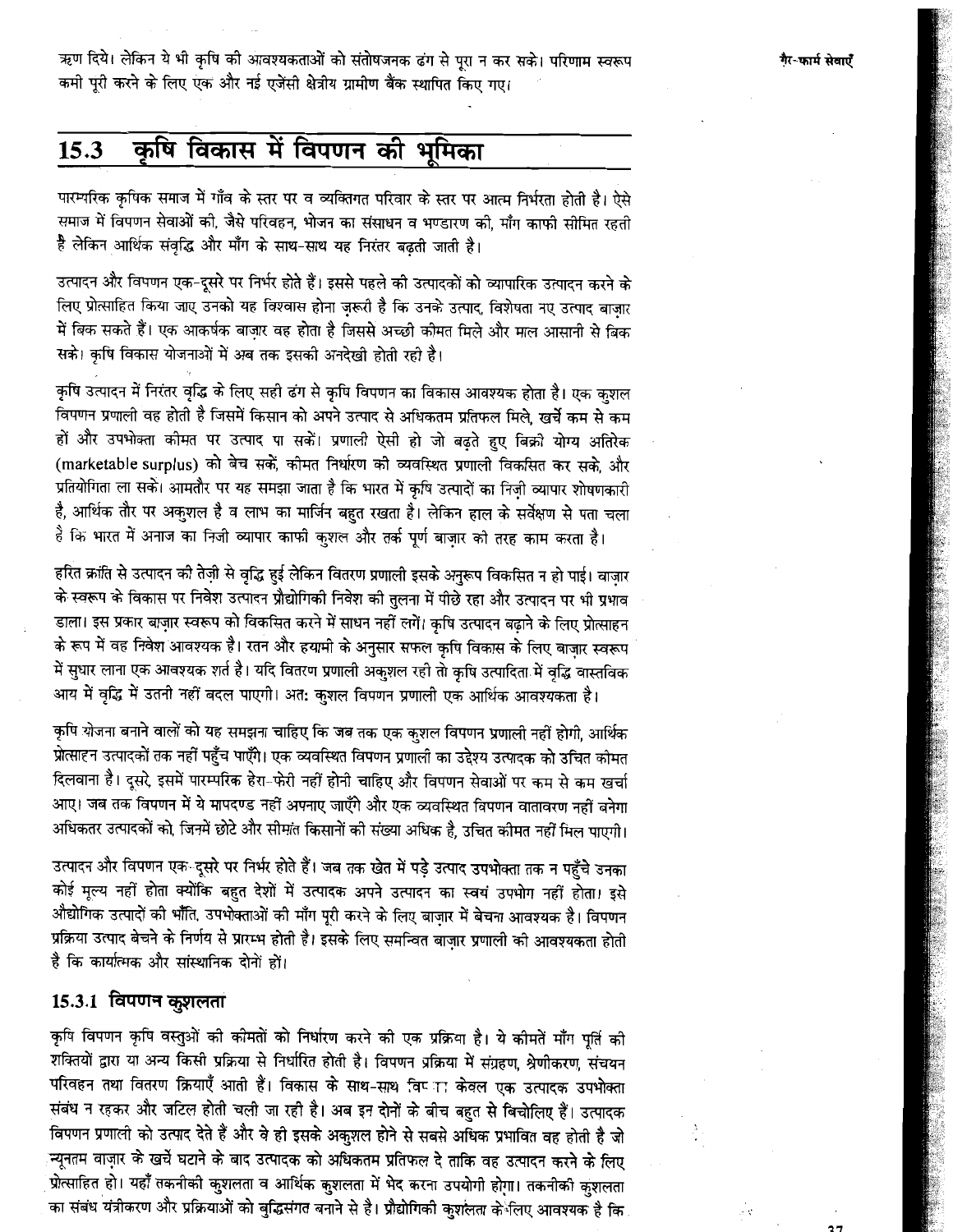ऋण दिये। लेकिन ये भी कृषि की आवश्यकताओं को संतोषजनक ढंग से पूरा न कर सके। परिणाम स्वरूप कमी पूरी करने के लिए एक और नई एजेंसी क्षेत्रीय ग्रामीण बैंक स्थापित किए गए।

#### कृषि विकास में विपणन की भूमिका 15.3

पारम्परिक कृषिक समाज में गाँव के स्तर पर व व्यक्तिगत परिवार के स्तर पर आत्म निर्भरता होती है। ऐसे समाज में विपणन सेवाओं की, जैसे परिवहन, भोजन का संसाधन व भण्डारण की, माँग काफी सीमित रहती है लेकिन आर्थिक संवृद्धि और माँग के साथ-साथ यह निरंतर बढ़ती जाती है।

उत्पादन और विपणन एक-दूसरे पर निर्भर होते हैं। इससे पहले की उत्पादकों को व्यापारिक उत्पादन करने के लिए प्रोत्साहित किया जाए उनको यह विश्वास होना ज़रूरी है कि उनके उत्पाद, विशेषता नए उत्पाद बाज़ार में बिक सकते हैं। एक आकर्षक बाज़ार वह होता है जिससे अच्छी कोमत मिले और माल आसानी से बिक सके। कृषि विकास योजनाओं में अब तक इसकी अनदेखी होती रही है।

कृषि उत्पादन में निरंतर वृद्धि के लिए सही ढंग से कृषि विपणन का विकास आवश्यक होता है। एक कुशल .<br>विपणन प्रणाली वह होती है जिसमें किसान को अपने उत्पाद से अधिकतम प्रतिफल मिले, खर्चे कम से कम हों और उपभोक्ता कीमत पर उत्पाद पा सकें। प्रणाली ऐसी हो जो बढ़ते हुए बिक्री योग्य अतिरेक (marketable surplus) को बेच सकें, कीमत निर्धारण की व्यवस्थित प्रणाली विकसित कर सके, और प्रतियोगिता ला सके। आमतौर पर यह समझा जाता है कि भारत में कृषि उत्पादों का निज़ी व्यापार शोषणकारी है, आर्थिक तौर पर अकुशल है व लाभ का मार्जिन बहुत रखता है। लेकिन हाल के सर्वेक्षण से पता चला है कि भारत में अनाज का निजी व्यापार काफी कुशल और तर्क पूर्ण बाज़ार की तरह काम करता है।

हरित क्रांति से उत्पादन को तेज़ी से वृद्धि हुई लेकिन वितरण प्रणाली इसके अनुरूप विकसित न हो पाई। वाज़ार के स्वरूप के विकास पर निवेश उत्पादन प्रौद्योगिकी निवेश की तुलना में पीछे रहा और उत्पादन पर भी प्रभाव डाला। इस प्रकार बाज़ार स्वरूप को विकसित करने में साधन नहीं लगें। कृषि उत्पादन बढ़ाने के लिए प्रोत्साहन के रूप में वह निवेश आवश्यक है। रतन और हयामी के अनुसार सफल कृषि विकास के लिए बाज़ार स्वरूप में सुधार लाना एक आवश्यक शर्त है। यदि वितरण प्रणाली अकुशल रही तो कृषि उत्पादिता में वृद्धि वास्तविक आय में वृद्धि में उतनी नहीं बदल पाएगी। अत: कुशल विपणन प्रणाली एक आर्थिक आवश्यकता है।

कृषि योजना बनाने वालों को यह समझना चाहिए कि जब तक एक कुशल विपणन प्रणाली नहीं होगी, आर्थिक प्रोत्साहन उत्पादकों तक नहीं पहुँच पाएँगे। एक व्यवस्थित विपणन प्रणाली का उद्देश्य उत्पादक को उचित कीमत दिलवाना है। दूसरे, इसमें पारम्परिक हेरा-फेरी नहीं होनी चाहिए और विपणन सेवाओं पर कम से कम खर्चा आए। जब तक विपणन में ये मापदण्ड नहीं अपनाए जाएँगे और एक व्यवस्थित विपणन वातावरण नहीं बनेगा अधिकतर उत्पादकों को, जिनमें छोटे और सीमांत किसानों की संख्या अधिक है, उचित कीमत नहीं मिल पाएगी।

उत्पादन और विपणन एक-दूसरे पर निर्भर होते हैं। जब तक खेत में पड़े उत्पाद उपभोक्ता तक न पहुँचे उनका कोई मूल्य नहीं होता क्योंकि बहुत देशों में उत्पादक अपने उत्पादन का स्वयं उपभोग नहीं होता। इसे औद्योगिक उत्पादों की भाँति, उपभोक्ताओं की माँग पूरी करने के लिए बाज़ार में बेचना आवश्यक है। विपणन प्रक्रिया उत्पाद बेचने के निर्णय से प्रारम्भ होती है। इसके लिए समन्वित बाज़ार प्रणाली की आवश्यकता होती है कि कार्यात्मक और सांस्थानिक दोनों हो।

### 15.3.1 विपणन कुशलता

कृषि विपणन कृषि वस्तुओं की कीमतों को निर्धारण करने की एक प्रक्रिया है। ये कीमतें माँग पूर्ति की शक्तियों द्वारा या अन्य किसी प्रक्रिया से निर्धारित होती है। विपणन प्रक्रिया में संग्रहण, श्रेणीकरण, संचयन परिवहन तथा वितरण क्रियाएँ आती हैं। विकास के साथ-साथ विष्ाा केवल एक उत्पादक उपभोक्ता संबंध न रहकर और जटिल होती चली जा रही है। अब इन दोनों के बीच बहुत से बिचोलिए हैं। उत्पादक विपणन प्रणाली को उत्पाद देते हैं और वे ही इसके अकुशल होने से सबसे अधिक प्रभावित वह होती है जो न्यूनतम वाज़ार के खर्चे घटाने के बाद उत्पादक को अधिकतम प्रतिफल दे ताकि वह उत्पादन करने के लिए प्रोत्साहित हो। यहाँ तकनीकी कुशलता व आर्थिक कुशलता में भेद करना उपयोगी होगा। तकनीकी कुशलता का संबंध यंत्रीकरण और प्रक्रियाओं को बुद्धिसंगत बनाने से है। प्रौद्योगिकी कुशलता के लिए आवश्यक है कि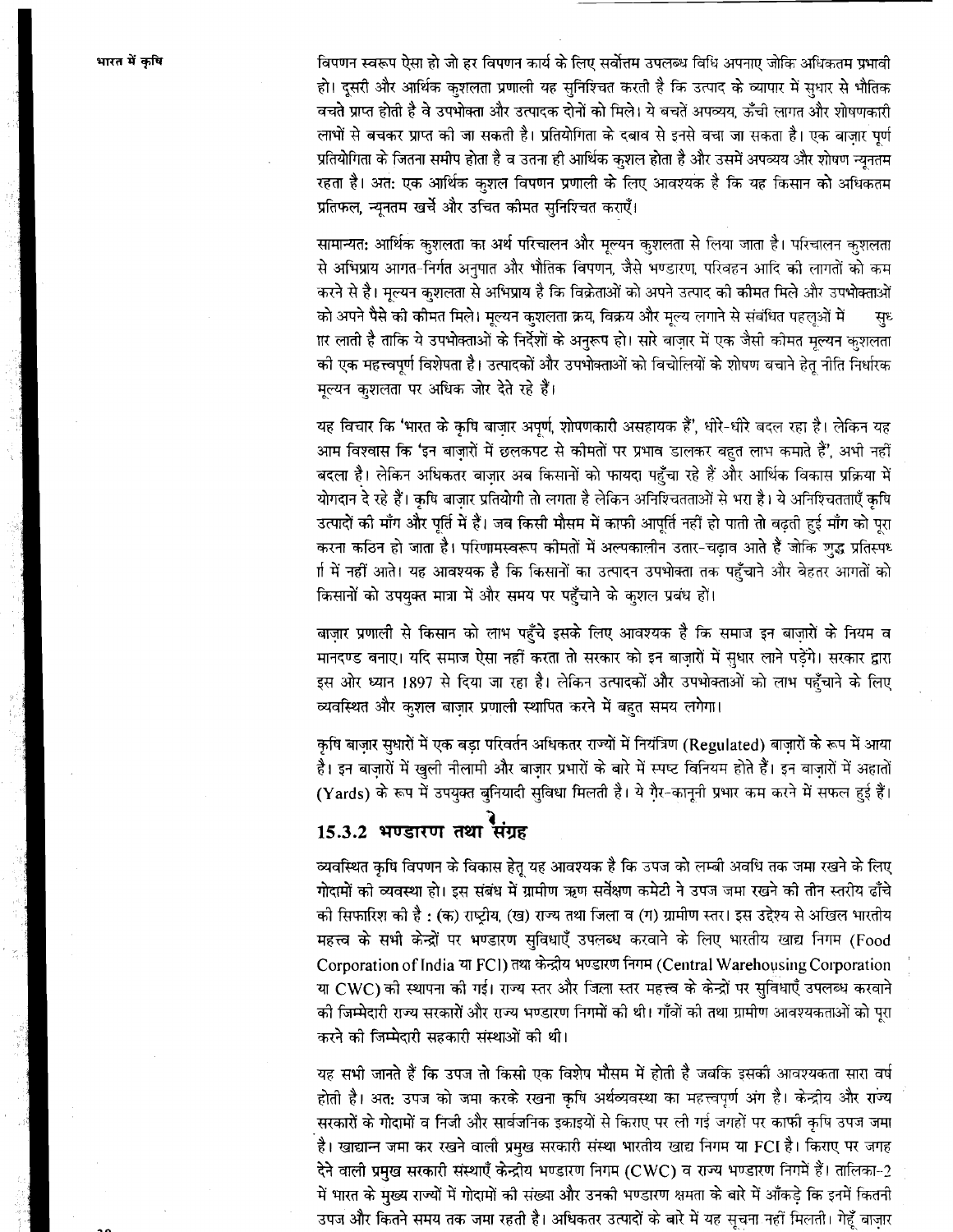विपणन स्वरूप ऐसा हो जो हर विपणन कार्य के लिए सर्वोत्तम उपलब्ध विधि अपनाए जोकि अधिकतम प्रभावी हो। दूसरी और आर्थिक कुशलता प्रणाली यह सुनिश्चित करती है कि उत्पाद के व्यापार में सधार से भौतिक वचते प्राप्त होती है वे उपभोक्ता और उत्पादक दोनों को मिले। ये बचतें अपव्यय, ऊँची लागत और शोषणकारी लाभों से बचकर प्राप्त को जा सकती है। प्रतियोगिता के दबाव से इनसे बचा जा सकता है। एक बाजार पर्ण प्रतियोगिता के जितना समीप होता है व उतना ही आर्थिक कुशल होता है और उसमें अपव्यय और शोषण न्यूनतम रहता है। अत: एक आर्थिक कुशल विपणन प्रणाली के लिए आवश्यक है कि यह किसान को अधिकतम प्रतिफल, न्यूनतम खर्चे और उचित कीमत सुनिश्चित कराएँ।

सामान्यत: आर्थिक कुशलता का अर्थ परिचालन और मूल्यन कुशलता से लिया जाता है। परिचालन कुशलता से अभिप्राय आगत-निर्गत अनुपात और भौतिक विपणन, जैसे भण्डारण, परिवहन आदि की लागतों को कम करने से है। मूल्यन क्शलता से अभिप्राय है कि विक्रेताओं को अपने उत्पाद को कीमत मिले और उपभोक्ताओं को अपने पैसे की कौमत मिले। मूल्यन कशलता क्रय, विक्रय और मूल्य लगाने से संबंधित पहलुओं में स्रध ार लाती है ताकि ये उपभोक्ताओं के निर्देशों के अनुरूप हो। सारे बाज़ार में एक जैसी कोमत मूल्यन कुशलता की एक महत्त्वपर्ण विशेषता है। उत्पादकों और उपभोक्ताओं को बिचोलियों के शोषण बचाने हेत नीति निर्धारक मुल्यन कुशलता पर अधिक जोर देते रहे हैं।

यह विचार कि 'भारत के कृषि बाजार अपूर्ण, शोषणकारी असहायक हैं', धोरे-धीरे बदल रहा है। लेकिन यह आम विश्वास कि 'इन बाजारों में छलकपट से कोमतों पर प्रभाव डालकर बहुत लाभ कमाते हैं', अभी नहीं बदला है। लेकिन अधिकतर बाजार अब किसानों को फायदा पहुँचा रहे हैं और आर्थिक विकास प्रक्रिया में योगदान दे रहे हैं। कृषि बाज़ार प्रतियोगी तो लगता है लेकिन अनिश्चितताओं से भरा है। ये अनिश्चितताएँ कृषि उत्पादों की माँग और पूर्ति में हैं। जब किसी मौसम में काफी आपूर्ति नहीं हो पाती तो बढ़ती हुई माँग को पूरा करना कठिन हो जाता है। परिणामस्वरूप कोमतों में अल्पकालीन उतार-चढ़ाव आते हैं जोकि शुद्ध प्रतिस्पध र्ग में नहीं आते। यह आवश्यक है कि किसानों का उत्पादन उपभोक्ता तक पहुँचाने और बेहतर आगतों को किसानों को उपयुक्त मात्रा में और समय पर पहुँचाने के कुशल प्रबंध हों।

बाज़ार प्रणाली से किसान को लाभ पहुँचे इसके लिए आवश्यक है कि समाज इन बाज़ारों के नियम व मानदण्ड बनाए। यदि समाज ऐसा नहीं करता तो सरकार को इन बाज़ारों में सुधार लाने पड़ेंगे। सरकार द्वारा इस ओर ध्यान 1897 से दिया जा रहा है। लेकिन उत्पादकों और उपभोक्ताओं को लाभ पहुँचाने के लिए व्यवस्थित और कुशल बाजार प्रणाली स्थापित करने में बहुत समय लगेगा।

कृषि बाजार सुधारों में एक बडा परिवर्तन अधिकतर राज्यों में नियंत्रिण (Regulated) बाजारों के रूप में आया है। इन बाजारों में खुली नीलामी और बाजार प्रभारों के बारे में स्पष्ट विनियम होते हैं। इन वाजारों में अहातों (Yards) के रूप में उपयुक्त बुनियादी सुविधा मिलती है। ये गैर-कानूनी प्रभार कम करने में सफल हुई हैं।

# 15.3.2 भण्डारण तथा संग्रह

व्यवस्थित कृषि विपणन के विकास हेतू यह आवश्यक है कि उपज को लम्बी अवधि तक जमा रखने के लिए गोदामों को व्यवस्था हो। इस संबंध में ग्रामीण ऋण सर्वेक्षण कमेटी ने उपज जमा रखने की तीन स्तरीय ढाँचे को सिफारिश को है : (क) राष्ट्रीय, (ख) राज्य तथा जिला व (ग) ग्रामीण स्तर। इस उद्देश्य से अखिल भारतीय महत्त्व के सभी केन्द्रों पर भण्डारण सुविधाएँ उपलब्ध करवाने के लिए भारतीय खाद्य निगम (Food Corporation of India या FCI) तथा केन्द्रीय भण्डारण निगम (Central Warehousing Corporation या CWC) की स्थापना की गई। राज्य स्तर और जिला स्तर महत्त्व के केन्द्रों पर सुविधाएँ उपलब्ध करवाने की जिम्मेदारी राज्य सरकारों और राज्य भण्डारण निगमों की थी। गाँवों की तथा ग्रामीण आवश्यकताओं को पूरा करने को जिम्मेदारी सहकारी संस्थाओं को थी।

यह सभी जानते हैं कि उपज तो किसी एक विशेष मौसम में होती है जबकि इसकी आवश्यकता सारा वर्ष होती है। अत: उपज को जमा करके रखना कृषि अर्थव्यवस्था का महत्त्वपूर्ण अंग है। केन्द्रीय और राज्य सरकारों के गोदामों व निजी और सार्वजनिक इकाइयों से किराए पर ली गई जगहों पर काफी कृषि उपज जमा .<br>है। खाद्यान्न जमा कर रखने वाली प्रमुख सरकारी संस्था भारतीय खाद्य निगम या FCI है। किराए पर जगह देने वाली प्रमुख सरकारी संस्थाएँ केन्द्रीय भण्डारण निगम (CWC) व राज्य भण्डारण निगमें हैं। तालिका-2 में भारत के मुख्य राज्यों में गोदामों की संख्या और उनकी भण्डारण क्षमता के बारे में आँकड़े कि इनमें कितनी उपज और कितने समय तक जमा रहती है। अधिकतर उत्पादों के बारे में यह सूचना नहीं मिलती। गेहूँ बाज़ार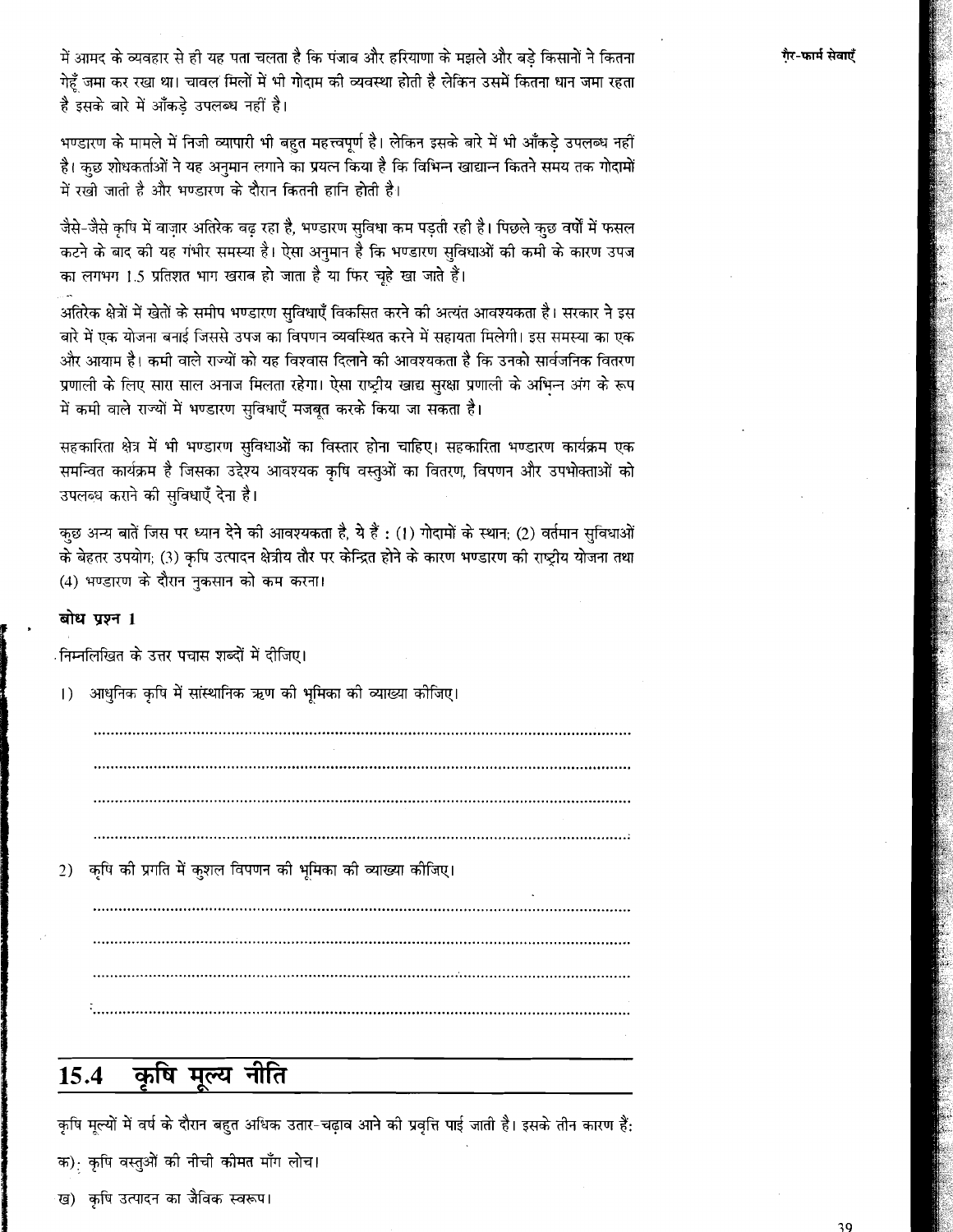में आमद के व्यवहार से ही यह पता चलता है कि पंजाब और हरियाणा के मझले और बड़े किसानों ने कितना गेहँ जमा कर रखा था। चावल मिलों में भी गोदाम की व्यवस्था होती है लेकिन उसमें कितना धान जमा रहता है इसके बारे में आँकडे उपलब्ध नहीं है।

भण्डारण के मामले में निजी व्यापारी भी बहुत महत्त्वपूर्ण है। लेकिन इसके बारे में भी आँकडे उपलब्ध नहीं है। कुछ शोधकर्ताओं ने यह अनुमान लगाने का प्रयत्न किया है कि विभिन्न खाद्यान्न कितने समय तक गोदामों में रखो जाती है और भण्डारण के दौरान कितनी हानि होती है।

जैसे-जैसे कृषि में वाजार अतिरेक बढ रहा है, भण्डारण सुविधा कम पडती रही है। पिछले कुछ वर्षों में फसल कटने के बाद की यह गंभीर समस्या है। ऐसा अनुमान है कि भण्डारण सुविधाओं की कमी के कारण उपज का लगभग 1.5 प्रतिशत भाग खराब हो जाता है या फिर चूहे खा जाते हैं।

अतिरेक क्षेत्रों में खेतों के समीप भण्डारण सुविधाएँ विकसित करने की अत्यंत आवश्यकता है। सरकार ने इस बारे में एक योजना बनाई जिससे उपज का विपणन व्यवस्थित करने में सहायता मिलेगी। इस समस्या का एक और आयाम है। कमी वाले राज्यों को यह विश्वास दिलाने की आवश्यकता है कि उनको सार्वजनिक वितरण प्रणाली के लिए सारा साल अनाज मिलता रहेगा। ऐसा राष्ट्रीय खाद्य सुरक्षा प्रणाली के अभिन्न अंग के रूप में कमी वाले राज्यों में भण्डारण सुविधाएँ मजबूत करके किया जा सकता है।

सहकारिता क्षेत्र में भी भण्डारण सुविधाओं का विस्तार होना चाहिए। सहकारिता भण्डारण कार्यक्रम एक समन्वित कार्यक्रम है जिसका उद्देश्य आवश्यक कृषि वस्तुओं का वितरण, विपणन और उपभोक्ताओं को उपलब्ध कराने की सुविधाएँ देना है।

कुछ अन्य बातें जिस पर ध्यान देने की आवश्यकता है, ये हैं : (1) गोदामों के स्थान; (2) वर्तमान सुविधाओं के बेहतर उपयोग; (3) कृषि उत्पादन क्षेत्रीय तौर पर केन्द्रित होने के कारण भण्डारण की राष्ट्रीय योजना तथा (4) भण्डारण के दौरान नुकसान को कम करना।

### बोध प्रश्न 1

ंनिम्नलिखित के उत्तर पचास शब्दों में दीजिए।

आधुनिक कृषि में सांस्थानिक ऋण की भूमिका को व्याख्या कोजिए।  $\left| \right|$ 

कृषि की प्रगति में कुशल विपणन की भूमिका की व्याख्या कोजिए।  $2)$ 

#### कृषि मूल्य नीति 15.4

कृषि मूल्यों में वर्ष के दौरान बहुत अधिक उतार-चढ़ाव आने की प्रवृत्ति पाई जाती है। इसके तीन कारण हैं: क) कृषि वस्तुओं की नीची कोमत माँग लोच।

ख) कृषि उत्पादन का जैविक स्वरूप।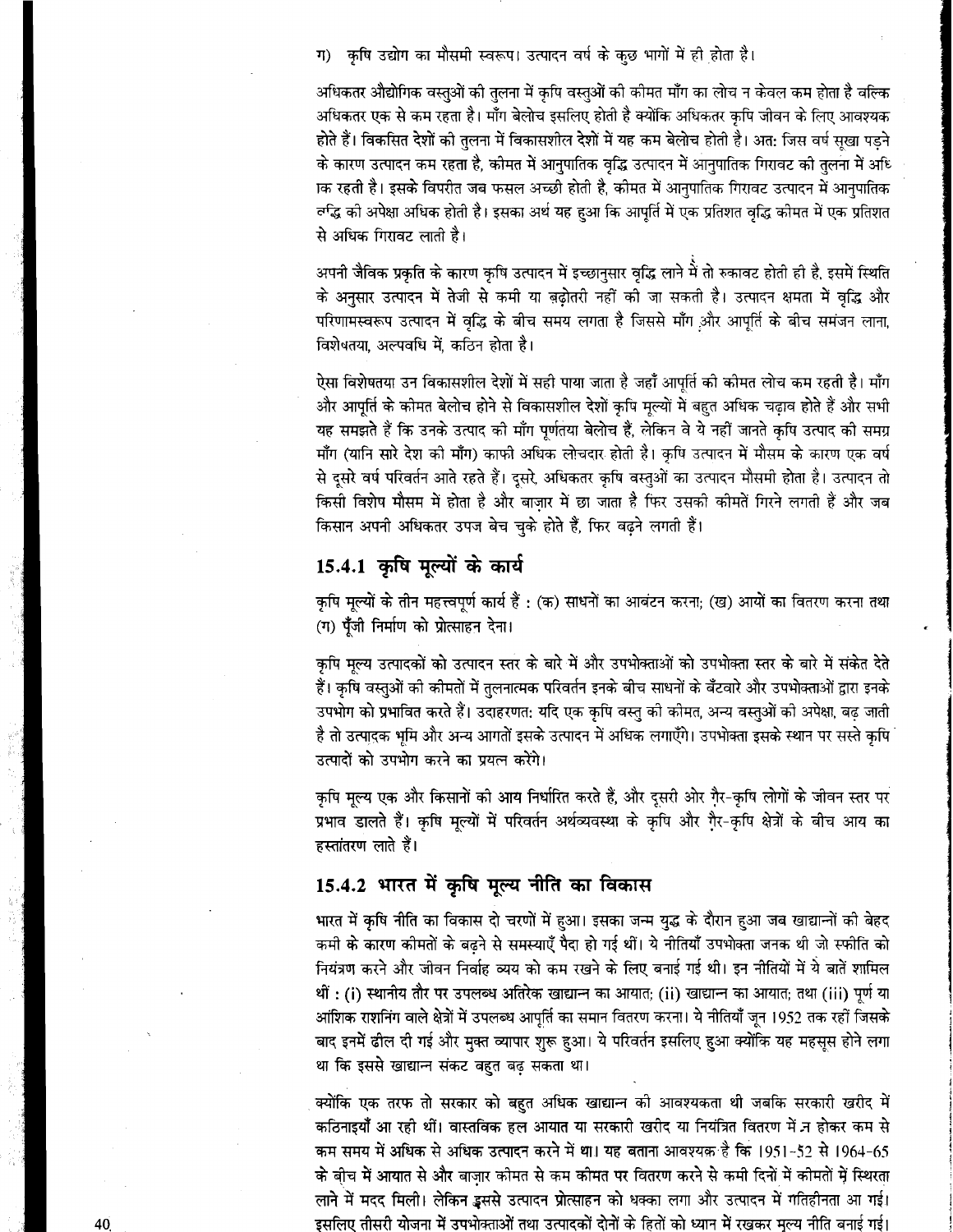ग) कृषि उद्योग का मौसमी स्वरूप। उत्पादन वर्ष के कुछ भागों में ही होता है।

अधिकतर औद्योगिक वस्तुओं को तुलना में कृषि वस्तुओं को कीमत माँग का लोच न केवल कम होता है बल्कि अधिकतर एक से कम रहता है। माँग बेलोच इसलिए होती है क्योंकि अधिकतर कृषि जीवन के लिए आवश्यक होते हैं। विकसित देशों को तुलना में विकासशील देशों में यह कम बेलोच होती है। अत: जिस वर्ष सुखा पड़ने के कारण उत्पादन कम रहता है, कोमत में आनुपातिक वृद्धि उत्पादन में आनुपातिक गिरावट को तुलना में अधि ाक रहती है। इसके विपरीत जब फसल अच्छी होती है, कीमत में आनुपातिक गिरावट उत्पादन में आनुपातिक र्ल्ग्द्ध की अपेक्षा अधिक होती है। इसका अर्थ यह हुआ कि आपूर्ति में एक प्रतिशत वृद्धि कीमत में एक प्रतिशत से अधिक गिरावट लाती है।

अपनी जैविक प्रकृति के कारण कृषि उत्पादन में इच्छानसार वृद्धि लाने में तो रुकावट होती ही है, इसमें स्थिति के अनुसार उत्पादन में तेजी से कमी या बढोतरी नहीं की जा सकती है। उत्पादन क्षमता में वृद्धि और परिणामस्वरूप उत्पादन में वृद्धि के बीच समय लगता है जिससे माँग और आपूर्ति के बीच समंजन लाना, विशेषतया. अल्पवधि में. कठिन होता है।

ऐसा विशेषतया उन विकासशील देशों में सही पाया जाता है जहाँ आपूर्ति की कोमत लोच कम रहती है। माँग और आपूर्ति के कोमत बेलोच होने से विकासशील देशों कृषि मूल्यों में बहुत अधिक चढ़ाव होते हैं और सभी यह समझते हैं कि उनके उत्पाद को माँग पूर्णतया बेलोच हैं, लेकिन वे ये नहीं जानते कृषि उत्पाद को समग्र माँग (यानि सारे देश को माँग) काफी अधिक लोचदार होती है। कृषि उत्पादन में मौसम के कारण एक वर्ष से दूसरे वर्ष परिवर्तन आते रहते हैं। दुसरे, अधिकतर कृषि वस्तुओं का उत्पादन मौसमी होता है। उत्पादन तो किसी विशेष मौसम में होता है और बाजार में छा जाता है फिर उसकी कीमतें गिरने लगती हैं और जब किसान अपनी अधिकतर उपज बेच चुके होते हैं, फिर बढ़ने लगती हैं।

## 15.4.1 कृषि मूल्यों के कार्य

कृषि मूल्यों के तीन महत्त्वपूर्ण कार्य हैं : (क) साधनों का आवंटन करना; (ख) आयों का वितरण करना तथा (ग) पूँजी निर्माण को प्रोत्साहन देना।

कृषि मृल्य उत्पादकों को उत्पादन स्तर के बारे में और उपभोक्ताओं को उपभोक्ता स्तर के बारे में संकेत देते हैं। कृषि वस्तुओं को कीमतों में तुलनात्मक परिवर्तन इनके बीच साधनों के बँटवारे और उपभोक्ताओं द्वारा इनके उपभोग को प्रभावित करते हैं। उदाहरणत: यदि एक कृषि वस्तु को कोमत, अन्य वस्तुओं को अपेक्षा, बढ़ जाती है तो उत्पादक भूमि और अन्य आगतों इसके उत्पादन में अधिक लगाएँगे। उपभोक्ता इसके स्थान पर सस्ते कपि उत्पादों को उपभोग करने का प्रयत्न करेंगे।

कृषि मूल्य एक और किसानों को आय निर्धारित करते हैं, और दूसरी ओर गैर-कृषि लोगों के जीवन स्तर पर प्रभाव डालते हैं। कृषि मूल्यों में परिवर्तन अर्थव्यवस्था के कृषि और गैर-कृषि क्षेत्रों के बीच आय का हस्तांतरण लाते हैं।

# 15.4.2 भारत में कृषि मूल्य नीति का विकास

भारत में कृषि नीति का विकास दो चरणों में हुआ। इसका जन्म युद्ध के दौरान हुआ जब खाद्यान्नों को बेहद कमी के कारण कीमतों के बढने से समस्याएँ पैदा हो गई थीं। ये नीतियाँ उपभोक्ता जनक थी जो स्फीति को नियंत्रण करने और जीवन निर्वाह व्यय को कम रखने के लिए बनाई गई थी। इन नीतियों में ये बातें शामिल थीं : (i) स्थानीय तौर पर उपलब्ध अतिरेक खाद्यान्न का आयात; (ii) खाद्यान्न का आयात; तथा (iii) पूर्ण या आंशिक राशनिंग वाले क्षेत्रों में उपलब्ध आपूर्ति का समान वितरण करना। ये नीतियाँ जून 1952 तक रहीं जिसके बाद इनमें ढील दी गई और मुक्त व्यापार शुरू हुआ। ये परिवर्तन इसलिए हुआ क्योंकि यह महसूस होने लगा था कि इससे खाद्यान्न संकट बहुत बढ़ सकता था।

क्योंकि एक तरफ तो सरकार को बहुत अधिक खाद्यान्न की आवश्यकता थी जबकि सरकारी खरीद में कठिनाइयाँ आ रही थीं। वास्तविक हल आयात या सरकारी खरीद या नियंत्रित वितरण में न होकर कम से कम समय में अधिक से अधिक उत्पादन करने में था। यह बताना आवश्यक है कि 1951-52 से 1964-65 के बीच में आयात से और बाजार कोमत से कम कोमत पर वितरण करने से कमी दिनों में कीमतों में स्थिरता लाने में मदद मिली। लेकिन इससे उत्पादन प्रोत्साहन को धक्का लगा और उत्पादन में गतिहीनता आ गई। इसलिए तीसरी योजना में उपभोक्ताओं तथा उत्पादकों दोनों के हितों को ध्यान में रखकर मुल्य नीति बनाई गई।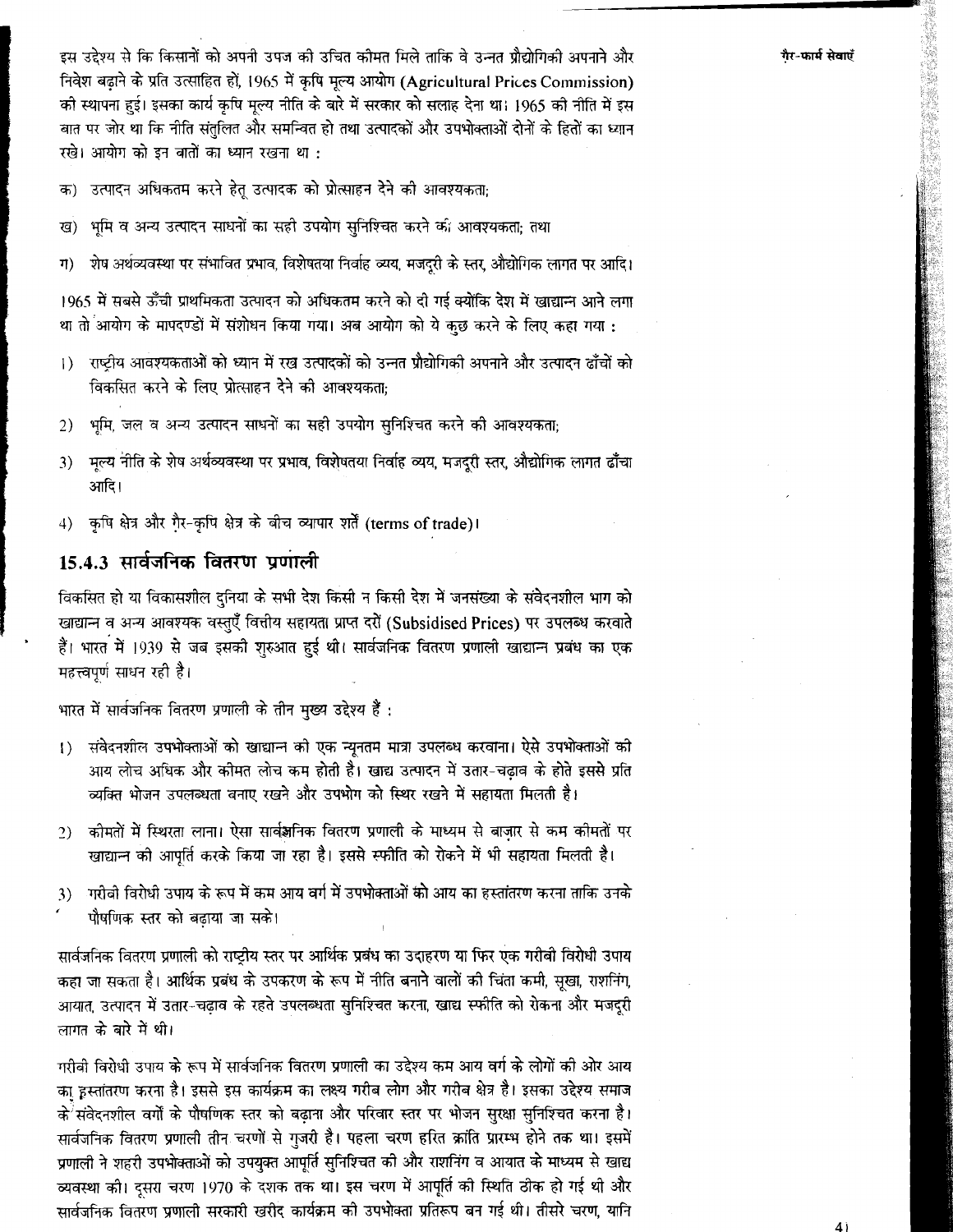इस उद्देश्य से कि किसानों को अपनी उपज की उचित कौमत मिले ताकि वे उन्नत प्रौद्योगिकी अपनाने और निवेश बढ़ाने के प्रति उत्साहित हों, 1965 में कृषि मूल्य आयोग (Agricultural Prices Commission) की स्थापना हुई। इसका कार्य कृषि मूल्य नीति के बारे में सरकार को सलाह देना था। 1965 की नीति में इस बात पर जोर था कि नीति संतलित और समन्वित हो तथा उत्पादकों और उपभोक्ताओं दोनों के हितों का ध्यान रखे। आयोग को इन बातों का ध्यान रखना था :

उत्पादन अधिकतम करने हेत उत्पादक को प्रोत्साहन देने को आवश्यकता: क)

भूमि व अन्य उत्पादन साधनों का सही उपयोग सुनिश्चित करने की आवश्यकता; तथा रव)

शेष अर्थव्यवस्था पर संभावित प्रभाव, विशेषतया निर्वाह व्यय, मजदरी के स्तर, औद्योगिक लागत पर आदि। ग)

1965 में सबसे ऊँची प्राथमिकता उत्पादन को अधिकतम करने को दी गई क्योंकि देश में खाद्यान्न आने लगा था तो आयोग के मापदण्डों में संशोधन किया गया। अब आयोग को ये कछ करने के लिए कहा गया :

- राष्ट्रीय आवश्यकताओं को ध्यान में रख उत्पादकों को उन्नत प्रौद्योगिकी अपनाने और उत्पादन ढाँचों को  $\left( \right)$ विकसित करने के लिए प्रोत्साहन देने की आवश्यकता:
- भूमि, जल व अन्य उत्पादन साधनों का सही उपयोग सुनिश्चित करने की आवश्यकता;  $2)$
- मूल्य नीति के शेष अर्थव्यवस्था पर प्रभाव, विशेषतया निर्वाह व्यय, मजदुरी स्तर, औद्योगिक लागत ढाँचा  $3)$ आदि।
- 4) कृषि क्षेत्र और गैर-कृषि क्षेत्र के बीच व्यापार शर्तें (terms of trade)।

### 15.4.3 सार्वजनिक वितरण प्रणाली

विकसित हो या विकासशील दुनिया के सभी देश किसी न किसी देश में जनसंख्या के संवेदनशील भाग को खाद्यान्न व अन्य आवश्यक वस्तुएँ वित्तीय सहायता प्राप्त दरों (Subsidised Prices) पर उपलब्ध करवाते हैं। भारत में 1939 से जब इसकी शरुआत हुई थी। सार्वजनिक वितरण प्रणाली खाद्यान्न प्रबंध का एक महत्त्वपूर्ण साधन रही है।

भारत में सार्वजनिक वितरण प्रणाली के तीन मुख्य उद्देश्य हैं :

- संवेदनशील उपभोक्ताओं को खाद्यान्न को एक न्यूनतम मात्रा उपलब्ध करवाना। ऐसे उपभोक्ताओं की  $\left\{ \right\}$ आय लोच अधिक और कीमत लोच कम होती है। खाद्य उत्पादन में उतार-चंढाव के होते इससे प्रति व्यक्ति भोजन उपलब्धता बनाए रखने और उपभोग को स्थिर रखने में सहायता मिलती है।
- 2) कीमतों में स्थिरता लाना। ऐसा सार्वज्ञनिक वितरण प्रणाली के माध्यम से बाजार से कम कीमतों पर खाद्यान्न की आपूर्ति करके किया जा रहा है। इससे स्फीति को रोकने में भी सहायता मिलती है।
- ारीबी विरोधी उपाय के रूप में कम आय वर्ग में उपभोक्ताओं को आय का हस्तांतरण करना ताकि उनके 3<sup>)</sup> पौषणिक स्तर को बढ़ाया जा सके।

सार्वजनिक वितरण प्रणाली को राष्ट्रीय स्तर पर आर्थिक प्रबंध का उदाहरण या फिर एक गरीबी विरोधी उपाय कहा जा सकता है। आर्थिक प्रबंध के उपकरण के रूप में नीति बनाने वालों की चिंता कमी, सुखा, राशनिंग, आयात, उत्पादन में उतार-चढाव के रहते उपलब्धता सुनिश्चित करना, खाद्य स्फीति को रोकना और मजदुरी लागत के बारे में थी।

गरीबी विरोधी उपाय के रूप में सार्वजनिक वितरण प्रणाली का उद्देश्य कम आय वर्ग के लोगों की ओर आय का इस्तांतरण करना है। इससे इस कार्यक्रम का लक्ष्य गरीब लोग और गरीब क्षेत्र है। इसका उद्देश्य समाज के संवेदनशील वर्गों के पौषणिक स्तर को बढ़ाना और परिवार स्तर पर भोजन सुरक्षा सुनिश्चित करना है। सार्वजनिक वितरण प्रणाली तीन चरणों से गुजरी है। पहला चरण हरित क्रांति प्रारम्भ होने तक था। इसमें प्रणाली ने शहरी उपभोक्ताओं को उपयुक्त आपूर्ति सुनिश्चित की और राशनिंग व आयात के माध्यम से खाद्य व्यवस्था की। दुसरा चरण 1970 के दशक तक था। इस चरण में आपूर्ति को स्थिति ठोक हो गई थी और सार्वजनिक वितरण प्रणाली सरकारी खरीद कार्यक्रम को उपभोक्ता प्रतिरूप बन गई थी। तीसरे चरण, यानि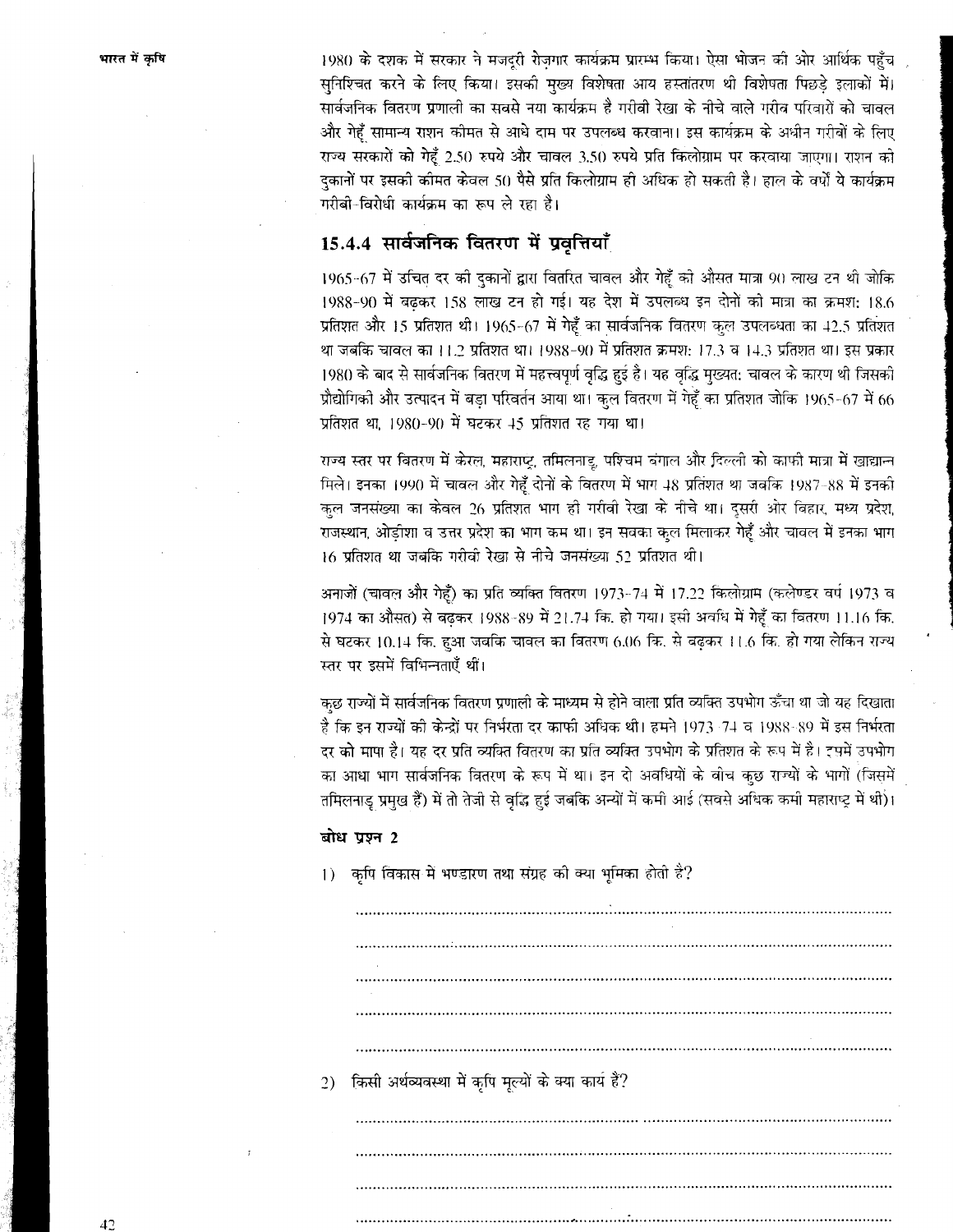1980 के दशक में सरकार ने मजदूरी रोजगार कार्यक्रम प्रारम्भ किया। ऐसा भोजन की ओर आर्थिक पहुँच सुनिश्चित करने के लिए किया। इसकी मुख्य विशेषता आय हस्तांतरण थी विशेषता पिछडे इलाकों में। सार्वजनिक वितरण प्रणाली का सबसे नया कार्यक्रम है गरीबी रेखा के नीचे वाले गरीब परिवारों को चावल और गेहूँ सामान्य राशन कीमत से आधे दाम पर उपलब्ध करवाना। इस कार्यक्रम के अधीन गरीबों के लिए राज्य सरकारों को गेहूँ 2.50 रुपये और चावल 3.50 रुपये प्रति किलोग्राम पर करवाया जाएगा। राशन को दुकानों पर इसकी कीमत केवल 50 पैसे प्रति किलोग्राम ही अधिक हो सकती है। हाल के वर्षों ये कार्यक्रम गरीबी-विरोधी कार्यक्रम का रूप ले रहा है।

### 15.4.4 सार्वजनिक वितरण में प्रवृत्तियाँ

1965-67 में उचित दर को दुकानों द्वारा वितरित चावल और गेहूँ को औसत मात्रा 90 लाख टन थी जोकि 1988-90 में बढ़कर 158 लाख टन हो गई। यह देश में उपलब्ध इन दोनों को मात्रा का क्रमश: 18.6 प्रतिशत और 15 प्रतिशत थी। 1965-67 में गेहूँ का सार्वजनिक वितरण कुल उपलब्धता का 42.5 प्रतिशत था जबकि चावल का 11.2 प्रतिशत था। 1988-90 में प्रतिशत क्रमश: 17.3 व 14.3 प्रतिशत था। इस प्रकार 1980 के बाद से सार्वजनिक वितरण में महत्त्वपूर्ण वृद्धि हुई है। यह वृद्धि मुख्यत: चावल के कारण थी जिसकी प्रौद्योगिकी और उत्पादन में बड़ा परिवर्तन आया था। कुल वितरण में गेहूँ का प्रतिशत जोकि 1965-67 में 66 प्रतिशत था, 1980-90 में घटकर 45 प्रतिशत रह गया था।

राज्य स्तर पर वितरण में केरल, महाराष्ट्र, तमिलनाडू, पश्चिम बंगाल और दिल्ली को काफी मात्रा में खाद्यान्न मिले। इनका 1990 में चावल और गेहूँ दोनों के वितरण में भाग 48 प्रतिशत था जबकि 1987-88 में इनकी कुल जनसंख्या का केवल 26 प्रतिशत भाग ही गरीबी रेखा के नीचे था। दूसरी ओर बिहार, मध्य प्रदेश, राजस्थान, ओड़ीशा व उत्तर प्रदेश का भाग कम था। इन सवका कुल मिलाकर गेहूँ और चावल में इनका भाग 16 प्रतिशत था जबकि गरीवी रेखा से नीचे जनसंख्या 52 प्रतिशत थी।

अनाजों (चावल और गेहूँ) का प्रति व्यक्ति वितरण 1973-74 में 17.22 किलोग्राम (कलेण्डर वर्ष 1973 व 1974 का औसत) से बढ़कर 1988-89 में 21.74 कि. हो गया। इसी अवधि में गेहूँ का वितरण 11.16 कि. से घटकर 10.14 कि. हुआ जबकि चावल का वितरण 6.06 कि. से बढ़कर 11.6 कि. हो गया लेकिन राज्य स्तर पर इसमें विभिन्नताएँ थीं।

कुछ राज्यों में सार्वजनिक वितरण प्रणाली के माध्यम से होने वाला प्रति व्यक्ति उपभोग ऊँचा था जो यह दिखाता है कि इन राज्यों की केन्द्रों पर निर्भरता दर काफी अधिक थी। हमने 1973-74 व 1988-89 में इस निर्भरता दर को मापा है। यह दर प्रति व्यक्ति वितरण का प्रति व्यक्ति उपभोग के प्रतिशत के रूप में है। इसमें उपभोग का आधा भाग सार्वजनिक वितरण के रूप में था। इन दो अवधियों के बोच कुछ राज्यों के भागों (जिसमें तमिलनाडु प्रमुख हैं) में तो तेजी से वृद्धि हुई जबकि अन्यों में कमी आई (सवसे अधिक कमी महाराष्ट्र में थी)।

### बोध प्रश्न 2

1) कृषि विकास में भण्डारण तथा संग्रह की क्या भूमिका होती है?

2) किसी अर्थव्यवस्था में कृषि मूल्यों के क्या कार्य है?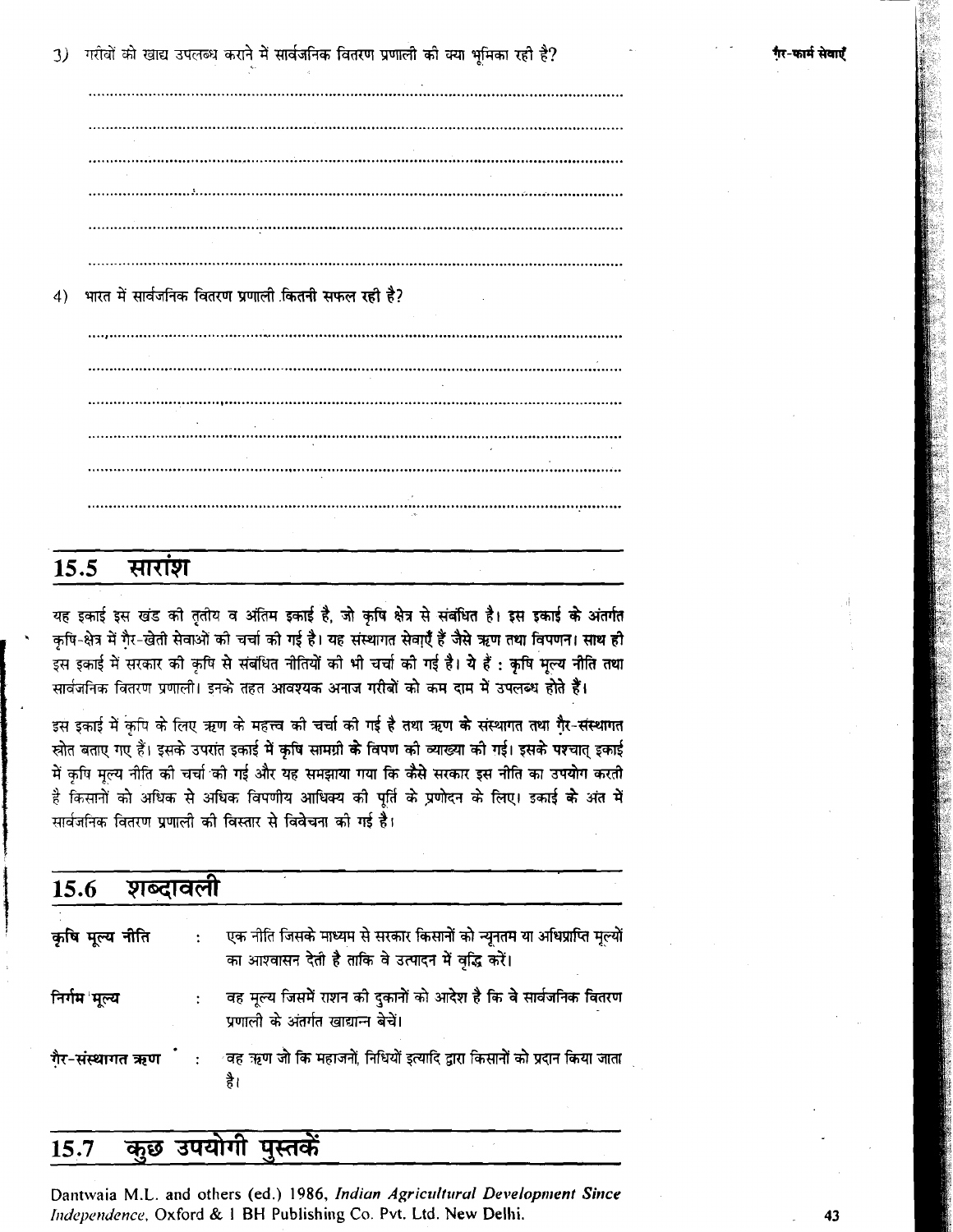गरीवों को खाद्य उपलब्ध कराने में सार्वजनिक वितरण प्रणाली की क्या भूमिका रही है?  $\mathcal{L}$ 

भारत में सार्वजनिक वितरण प्रणाली कितनी सफल रही है?  $\left( 4 \right)$ 

#### 15.5 सारांश

यह इकाई इस खंड की तृतीय व अंतिम इकाई है, जो कृषि क्षेत्र से संबंधित है। इस इकाई के अंतर्गत कृषि-क्षेत्र में गैर-खेती सेवाओं की चर्चा की गई है। यह संस्थागत सेवा्एँ हैं जैसे ऋण तथा विपणन। साथ ही इस इकाई में सरकार की कृषि से संबंधित नीतियों की भी चर्चा की गई है। ये हैं : कृषि मूल्य नीति तथा सार्वजनिक वितरण प्रणाली। इनके तहत आवश्यक अनाज गरीबों को कम दाम में उपलब्ध होते हैं।

इस इकाई में कपि के लिए ऋण के महत्त्व की चर्चा की गई है तथा ऋण के संस्थागत तथा गैर-संस्थागत स्रोत बताए गए हैं। इसके उपरांत इकाई में कृषि सामग्री के विपण की व्याख्या की गई। इसके पश्चात् इकाई .<br>में कृषि मृत्य नीति की चर्चा की गई और यह समझाया गया कि कैसे सरकार इस नीति का उपयोग करती है किसानों को अधिक से अधिक विपणीय आधिक्य की पूर्ति के प्रणोदन के लिए। इकाई **के** अंत में सार्वजनिक वितरण प्रणाली की विस्तार से विवेचना को गई है।

| 15.6            | शब्दावली |                                                                                                                                |
|-----------------|----------|--------------------------------------------------------------------------------------------------------------------------------|
| कृषि मूल्य नीति |          | एक नीति जिसके माध्यम से सरकार किसानों को न्यूनतम या अधिप्राप्ति मृल्यों<br>का आश्वासन देती है ताकि वे उत्पादन में वृद्धि करें। |
| निर्गम 'मुल्य   |          | वह मूल्य जिसमें राशन की दुकानों को आदेश है कि वे सार्वजनिक वितरण<br>प्रणाली के अंतर्गत खाद्यान्न बेचें।                        |
|                 |          | गैर-संस्थागत ऋण ंः वह ऋण जो कि महाजनों, निधियों इत्यादि द्वारा किसानों को प्रदान किया जाता<br>है।                              |

#### कुछ उपयोगी पुस्तकें 15.7

Dantwaia M.L. and others (ed.) 1986, Indian Agricultural Development Since Independence, Oxford & 1 BH Publishing Co. Pvt. Ltd. New Delhi.